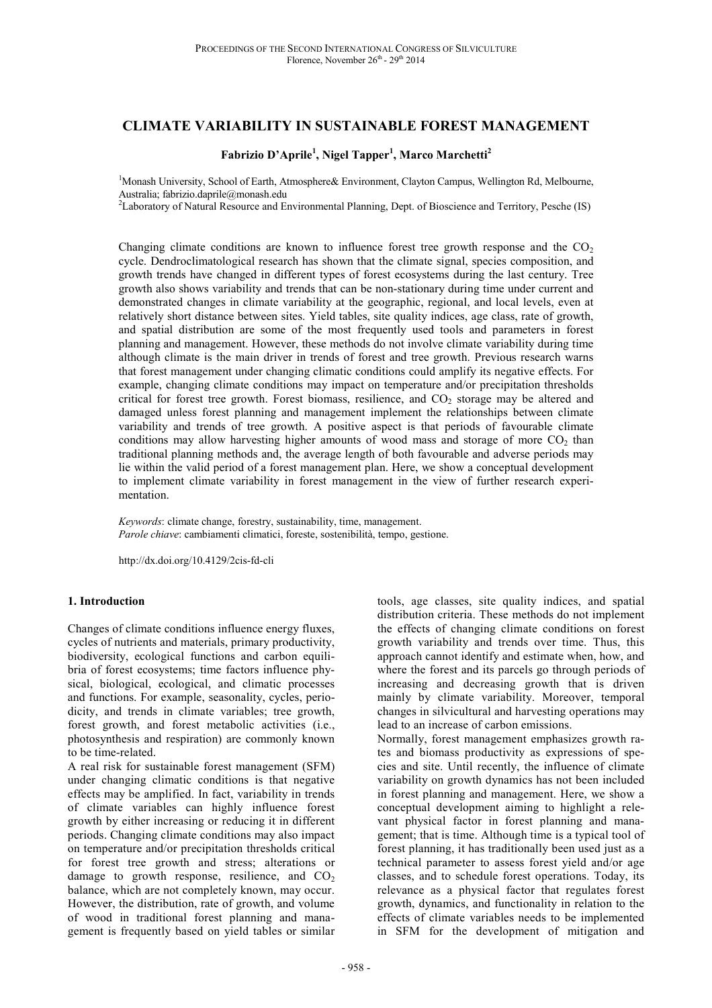# **CLIMATE VARIABILITY IN SUSTAINABLE FOREST MANAGEMENT**

## **Fabrizio D'Aprile<sup>1</sup> , Nigel Tapper<sup>1</sup> , Marco Marchetti<sup>2</sup>**

<sup>1</sup>Monash University, School of Earth, Atmosphere& Environment, Clayton Campus, Wellington Rd, Melbourne, Australia; fabrizio.daprile@monash.edu

<sup>2</sup>Laboratory of Natural Resource and Environmental Planning, Dept. of Bioscience and Territory, Pesche (IS)

Changing climate conditions are known to influence forest tree growth response and the  $CO<sub>2</sub>$ cycle. Dendroclimatological research has shown that the climate signal, species composition, and growth trends have changed in different types of forest ecosystems during the last century. Tree growth also shows variability and trends that can be non-stationary during time under current and demonstrated changes in climate variability at the geographic, regional, and local levels, even at relatively short distance between sites. Yield tables, site quality indices, age class, rate of growth, and spatial distribution are some of the most frequently used tools and parameters in forest planning and management. However, these methods do not involve climate variability during time although climate is the main driver in trends of forest and tree growth. Previous research warns that forest management under changing climatic conditions could amplify its negative effects. For example, changing climate conditions may impact on temperature and/or precipitation thresholds critical for forest tree growth. Forest biomass, resilience, and CO<sub>2</sub> storage may be altered and damaged unless forest planning and management implement the relationships between climate variability and trends of tree growth. A positive aspect is that periods of favourable climate conditions may allow harvesting higher amounts of wood mass and storage of more  $CO<sub>2</sub>$  than traditional planning methods and, the average length of both favourable and adverse periods may lie within the valid period of a forest management plan. Here, we show a conceptual development to implement climate variability in forest management in the view of further research experimentation.

*Keywords*: climate change, forestry, sustainability, time, management. *Parole chiave*: cambiamenti climatici, foreste, sostenibilità, tempo, gestione.

http://dx.doi.org/10.4129/2cis-fd-cli

## **1. Introduction**

Changes of climate conditions influence energy fluxes, cycles of nutrients and materials, primary productivity, biodiversity, ecological functions and carbon equilibria of forest ecosystems; time factors influence physical, biological, ecological, and climatic processes and functions. For example, seasonality, cycles, periodicity, and trends in climate variables; tree growth, forest growth, and forest metabolic activities (i.e., photosynthesis and respiration) are commonly known to be time-related.

A real risk for sustainable forest management (SFM) under changing climatic conditions is that negative effects may be amplified. In fact, variability in trends of climate variables can highly influence forest growth by either increasing or reducing it in different periods. Changing climate conditions may also impact on temperature and/or precipitation thresholds critical for forest tree growth and stress; alterations or damage to growth response, resilience, and  $CO<sub>2</sub>$ balance, which are not completely known, may occur. However, the distribution, rate of growth, and volume of wood in traditional forest planning and management is frequently based on yield tables or similar

tools, age classes, site quality indices, and spatial distribution criteria. These methods do not implement the effects of changing climate conditions on forest growth variability and trends over time. Thus, this approach cannot identify and estimate when, how, and where the forest and its parcels go through periods of increasing and decreasing growth that is driven mainly by climate variability. Moreover, temporal changes in silvicultural and harvesting operations may lead to an increase of carbon emissions.

Normally, forest management emphasizes growth rates and biomass productivity as expressions of species and site. Until recently, the influence of climate variability on growth dynamics has not been included in forest planning and management. Here, we show a conceptual development aiming to highlight a relevant physical factor in forest planning and management; that is time. Although time is a typical tool of forest planning, it has traditionally been used just as a technical parameter to assess forest yield and/or age classes, and to schedule forest operations. Today, its relevance as a physical factor that regulates forest growth, dynamics, and functionality in relation to the effects of climate variables needs to be implemented in SFM for the development of mitigation and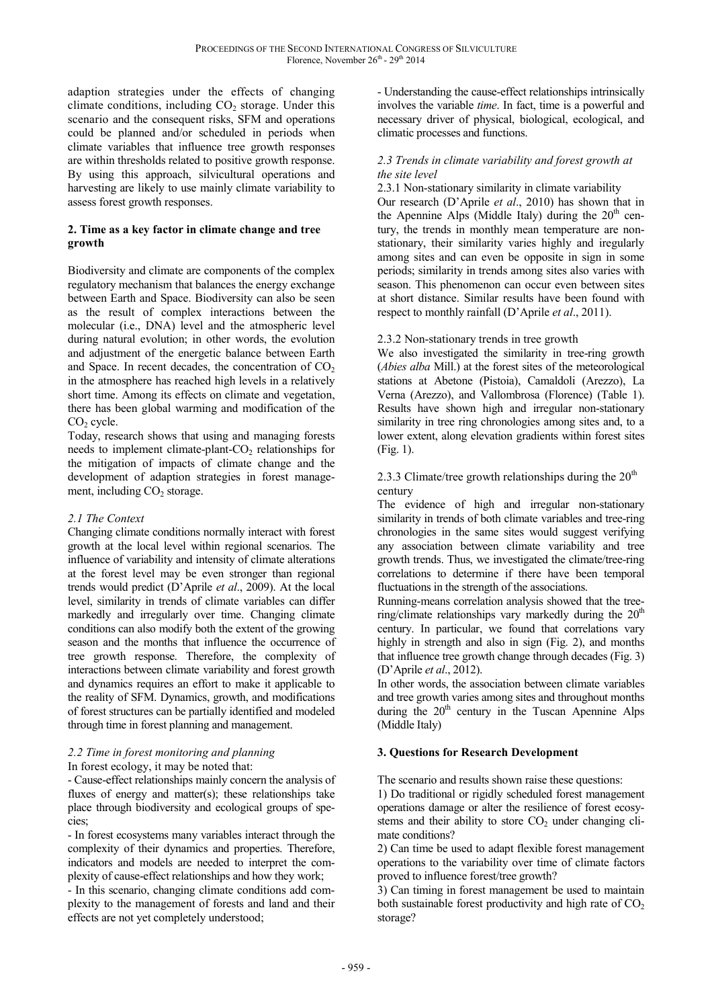adaption strategies under the effects of changing climate conditions, including  $CO<sub>2</sub>$  storage. Under this scenario and the consequent risks, SFM and operations could be planned and/or scheduled in periods when climate variables that influence tree growth responses are within thresholds related to positive growth response. By using this approach, silvicultural operations and harvesting are likely to use mainly climate variability to assess forest growth responses.

## **2. Time as a key factor in climate change and tree growth**

Biodiversity and climate are components of the complex regulatory mechanism that balances the energy exchange between Earth and Space. Biodiversity can also be seen as the result of complex interactions between the molecular (i.e., DNA) level and the atmospheric level during natural evolution; in other words, the evolution and adjustment of the energetic balance between Earth and Space. In recent decades, the concentration of  $CO<sub>2</sub>$ in the atmosphere has reached high levels in a relatively short time. Among its effects on climate and vegetation, there has been global warming and modification of the  $CO<sub>2</sub>$  cycle.

Today, research shows that using and managing forests needs to implement climate-plant- $CO<sub>2</sub>$  relationships for the mitigation of impacts of climate change and the development of adaption strategies in forest management, including  $CO<sub>2</sub>$  storage.

## *2.1 The Context*

Changing climate conditions normally interact with forest growth at the local level within regional scenarios. The influence of variability and intensity of climate alterations at the forest level may be even stronger than regional trends would predict (D'Aprile *et al*., 2009). At the local level, similarity in trends of climate variables can differ markedly and irregularly over time. Changing climate conditions can also modify both the extent of the growing season and the months that influence the occurrence of tree growth response. Therefore, the complexity of interactions between climate variability and forest growth and dynamics requires an effort to make it applicable to the reality of SFM. Dynamics, growth, and modifications of forest structures can be partially identified and modeled through time in forest planning and management.

# *2.2 Time in forest monitoring and planning*

In forest ecology, it may be noted that:

- Cause-effect relationships mainly concern the analysis of fluxes of energy and matter(s); these relationships take place through biodiversity and ecological groups of species;

- In forest ecosystems many variables interact through the complexity of their dynamics and properties. Therefore, indicators and models are needed to interpret the complexity of cause-effect relationships and how they work;

- In this scenario, changing climate conditions add complexity to the management of forests and land and their effects are not yet completely understood;

- Understanding the cause-effect relationships intrinsically involves the variable *time*. In fact, time is a powerful and necessary driver of physical, biological, ecological, and climatic processes and functions.

## *2.3 Trends in climate variability and forest growth at the site level*

## 2.3.1 Non-stationary similarity in climate variability

Our research (D'Aprile *et al*., 2010) has shown that in the Apennine Alps (Middle Italy) during the  $20<sup>th</sup>$  century, the trends in monthly mean temperature are nonstationary, their similarity varies highly and iregularly among sites and can even be opposite in sign in some periods; similarity in trends among sites also varies with season. This phenomenon can occur even between sites at short distance. Similar results have been found with respect to monthly rainfall (D'Aprile *et al*., 2011).

## 2.3.2 Non-stationary trends in tree growth

We also investigated the similarity in tree-ring growth (*Abies alba* Mill.) at the forest sites of the meteorological stations at Abetone (Pistoia), Camaldoli (Arezzo), La Verna (Arezzo), and Vallombrosa (Florence) (Table 1). Results have shown high and irregular non-stationary similarity in tree ring chronologies among sites and, to a lower extent, along elevation gradients within forest sites (Fig. 1).

2.3.3 Climate/tree growth relationships during the  $20<sup>th</sup>$ century

The evidence of high and irregular non-stationary similarity in trends of both climate variables and tree-ring chronologies in the same sites would suggest verifying any association between climate variability and tree growth trends. Thus, we investigated the climate/tree-ring correlations to determine if there have been temporal fluctuations in the strength of the associations.

Running-means correlation analysis showed that the treering/climate relationships vary markedly during the  $20<sup>th</sup>$ century. In particular, we found that correlations vary highly in strength and also in sign (Fig. 2), and months that influence tree growth change through decades (Fig. 3) (D'Aprile *et al*., 2012).

In other words, the association between climate variables and tree growth varies among sites and throughout months during the  $20<sup>th</sup>$  century in the Tuscan Apennine Alps (Middle Italy)

## **3. Questions for Research Development**

The scenario and results shown raise these questions:

1) Do traditional or rigidly scheduled forest management operations damage or alter the resilience of forest ecosystems and their ability to store  $CO<sub>2</sub>$  under changing climate conditions?

2) Can time be used to adapt flexible forest management operations to the variability over time of climate factors proved to influence forest/tree growth?

3) Can timing in forest management be used to maintain both sustainable forest productivity and high rate of  $CO<sub>2</sub>$ storage?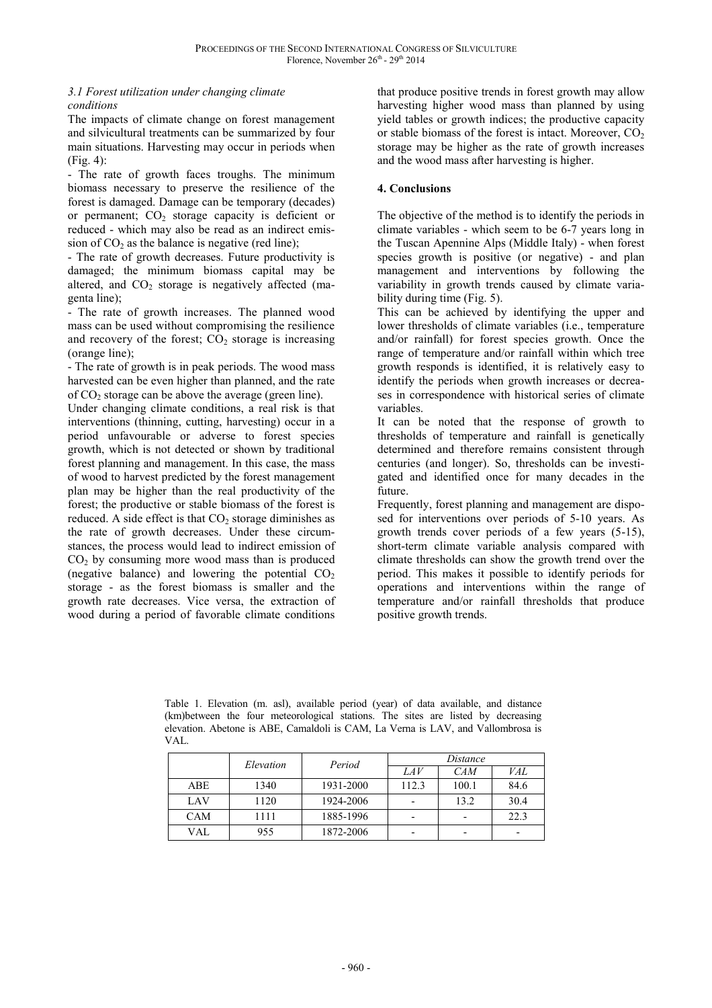## *3.1 Forest utilization under changing climate conditions*

The impacts of climate change on forest management and silvicultural treatments can be summarized by four main situations. Harvesting may occur in periods when (Fig. 4):

- The rate of growth faces troughs. The minimum biomass necessary to preserve the resilience of the forest is damaged. Damage can be temporary (decades) or permanent;  $CO<sub>2</sub>$  storage capacity is deficient or reduced - which may also be read as an indirect emission of  $CO<sub>2</sub>$  as the balance is negative (red line);

- The rate of growth decreases. Future productivity is damaged; the minimum biomass capital may be altered, and  $CO<sub>2</sub>$  storage is negatively affected (magenta line);

- The rate of growth increases. The planned wood mass can be used without compromising the resilience and recovery of the forest;  $CO<sub>2</sub>$  storage is increasing (orange line);

- The rate of growth is in peak periods. The wood mass harvested can be even higher than planned, and the rate of  $CO<sub>2</sub>$  storage can be above the average (green line).

Under changing climate conditions, a real risk is that interventions (thinning, cutting, harvesting) occur in a period unfavourable or adverse to forest species growth, which is not detected or shown by traditional forest planning and management. In this case, the mass of wood to harvest predicted by the forest management plan may be higher than the real productivity of the forest; the productive or stable biomass of the forest is reduced. A side effect is that  $CO<sub>2</sub>$  storage diminishes as the rate of growth decreases. Under these circumstances, the process would lead to indirect emission of  $CO<sub>2</sub>$  by consuming more wood mass than is produced (negative balance) and lowering the potential  $CO<sub>2</sub>$ storage - as the forest biomass is smaller and the growth rate decreases. Vice versa, the extraction of wood during a period of favorable climate conditions

that produce positive trends in forest growth may allow harvesting higher wood mass than planned by using yield tables or growth indices; the productive capacity or stable biomass of the forest is intact. Moreover,  $CO<sub>2</sub>$ storage may be higher as the rate of growth increases and the wood mass after harvesting is higher.

## **4. Conclusions**

The objective of the method is to identify the periods in climate variables - which seem to be 6-7 years long in the Tuscan Apennine Alps (Middle Italy) - when forest species growth is positive (or negative) - and plan management and interventions by following the variability in growth trends caused by climate variability during time (Fig. 5).

This can be achieved by identifying the upper and lower thresholds of climate variables (i.e., temperature and/or rainfall) for forest species growth. Once the range of temperature and/or rainfall within which tree growth responds is identified, it is relatively easy to identify the periods when growth increases or decreases in correspondence with historical series of climate variables.

It can be noted that the response of growth to thresholds of temperature and rainfall is genetically determined and therefore remains consistent through centuries (and longer). So, thresholds can be investigated and identified once for many decades in the future.

Frequently, forest planning and management are disposed for interventions over periods of 5-10 years. As growth trends cover periods of a few years (5-15), short-term climate variable analysis compared with climate thresholds can show the growth trend over the period. This makes it possible to identify periods for operations and interventions within the range of temperature and/or rainfall thresholds that produce positive growth trends.

Table 1. Elevation (m. asl), available period (year) of data available, and distance (km)between the four meteorological stations. The sites are listed by decreasing elevation. Abetone is ABE, Camaldoli is CAM, La Verna is LAV, and Vallombrosa is VAL.

|            | Elevation | Period    | Distance |       |            |
|------------|-----------|-----------|----------|-------|------------|
|            |           |           | LAV      | CAM   | <i>VAL</i> |
| ABE        | 1340      | 1931-2000 | 112.3    | 100.1 | 84.6       |
| LAV        | 1120      | 1924-2006 |          | 13.2  | 30.4       |
| <b>CAM</b> | 1111      | 1885-1996 |          |       | 22.3       |
| VAL        | 955       | 1872-2006 |          |       |            |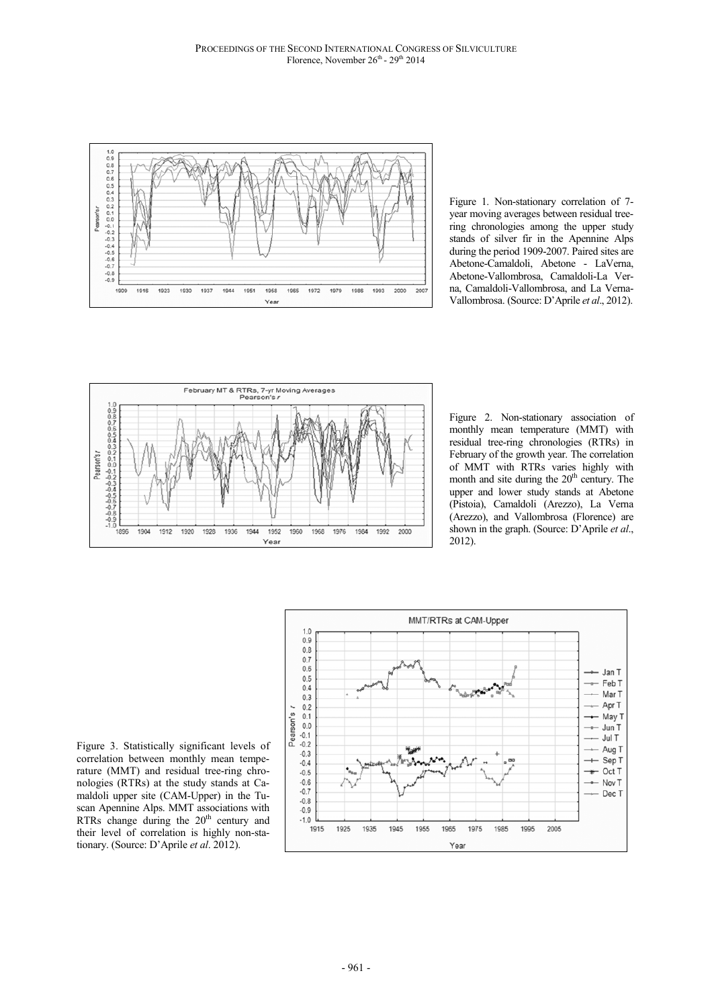

Figure 1. Non-stationary correlation of 7 year moving averages between residual treering chronologies among the upper study stands of silver fir in the Apennine Alps during the period 1909-2007. Paired sites are Abetone-Camaldoli, Abetone - LaVerna, Abetone-Vallombrosa, Camaldoli-La Verna, Camaldoli-Vallombrosa, and La Verna-Vallombrosa. (Source: D'Aprile *et al*., 2012).



Figure 2. Non-stationary association of monthly mean temperature (MMT) with residual tree-ring chronologies (RTRs) in February of the growth year. The correlation of MMT with RTRs varies highly with month and site during the  $20<sup>th</sup>$  century. The upper and lower study stands at Abetone (Pistoia), Camaldoli (Arezzo), La Verna (Arezzo), and Vallombrosa (Florence) are shown in the graph. (Source: D'Aprile *et al*., 2012).

Figure 3. Statistically significant levels of correlation between monthly mean temperature (MMT) and residual tree-ring chronologies (RTRs) at the study stands at Camaldoli upper site (CAM-Upper) in the Tuscan Apennine Alps. MMT associations with RTRs change during the 20<sup>th</sup> century and their level of correlation is highly non-stationary. (Source: D'Aprile *et al*. 2012).

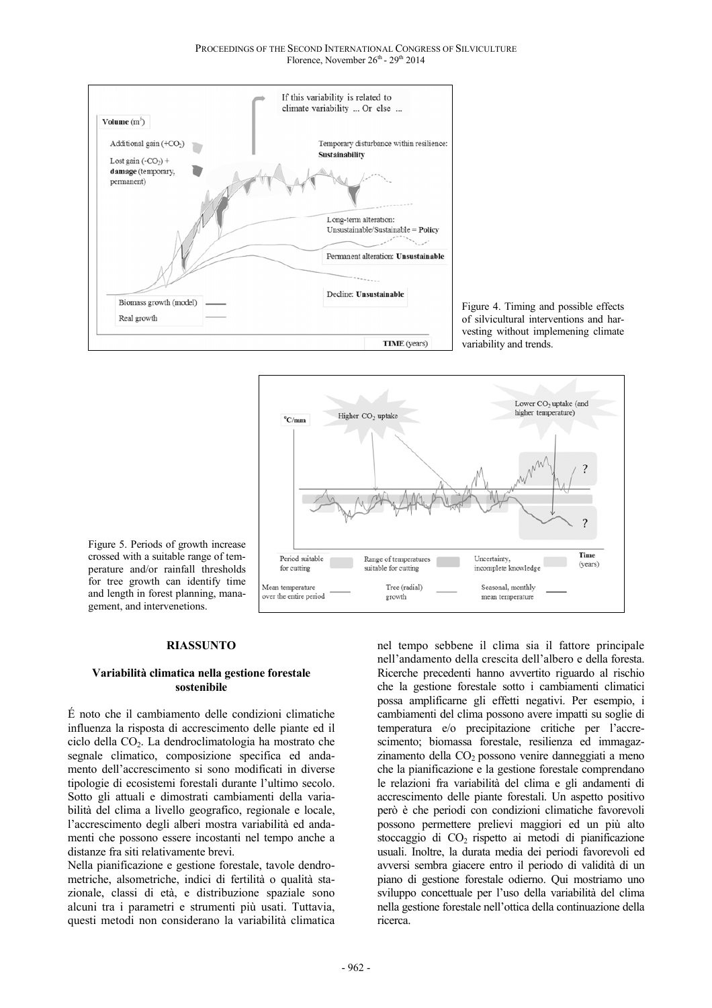

Figure 4. Timing and possible effects of silvicultural interventions and harvesting without implemening climate variability and trends.



crossed with a suitable range of temperature and/or rainfall thresholds for tree growth can identify time and length in forest planning, management, and intervenetions.

Figure 5. Periods of growth increase

## **RIASSUNTO**

#### **Variabilità climatica nella gestione forestale sostenibile**

É noto che il cambiamento delle condizioni climatiche influenza la risposta di accrescimento delle piante ed il ciclo della  $CO<sub>2</sub>$ . La dendroclimatologia ha mostrato che segnale climatico, composizione specifica ed andamento dell'accrescimento si sono modificati in diverse tipologie di ecosistemi forestali durante l'ultimo secolo. Sotto gli attuali e dimostrati cambiamenti della variabilità del clima a livello geografico, regionale e locale, l'accrescimento degli alberi mostra variabilità ed andamenti che possono essere incostanti nel tempo anche a distanze fra siti relativamente brevi.

Nella pianificazione e gestione forestale, tavole dendrometriche, alsometriche, indici di fertilità o qualità stazionale, classi di età, e distribuzione spaziale sono alcuni tra i parametri e strumenti più usati. Tuttavia, questi metodi non considerano la variabilità climatica

nel tempo sebbene il clima sia il fattore principale nell'andamento della crescita dell'albero e della foresta. Ricerche precedenti hanno avvertito riguardo al rischio che la gestione forestale sotto i cambiamenti climatici possa amplificarne gli effetti negativi. Per esempio, i cambiamenti del clima possono avere impatti su soglie di temperatura e/o precipitazione critiche per l'accrescimento; biomassa forestale, resilienza ed immagazzinamento della  $CO<sub>2</sub>$  possono venire danneggiati a meno che la pianificazione e la gestione forestale comprendano le relazioni fra variabilità del clima e gli andamenti di accrescimento delle piante forestali. Un aspetto positivo però è che periodi con condizioni climatiche favorevoli possono permettere prelievi maggiori ed un più alto stoccaggio di  $CO<sub>2</sub>$  rispetto ai metodi di pianificazione usuali. Inoltre, la durata media dei periodi favorevoli ed avversi sembra giacere entro il periodo di validità di un piano di gestione forestale odierno. Qui mostriamo uno sviluppo concettuale per l'uso della variabilità del clima nella gestione forestale nell'ottica della continuazione della ricerca.